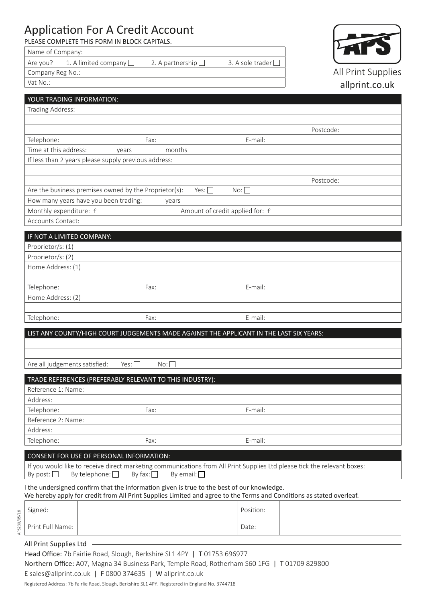# Application For A Credit Account

PLEASE COMPLETE THIS FORM IN BLOCK CAPITALS.

| Name of Company: |                                          |                  |                    |
|------------------|------------------------------------------|------------------|--------------------|
|                  | $\sqrt{2}$ Are you? 1. A limited company | 2. A partnership | 3. A sole trader l |
| Company Reg No.: |                                          |                  |                    |



Vat No.:

# allprint.co.uk I the undersigned confirm that the information given is true to the best of our knowledge. We hereby apply for credit from All Print Supplies Limited and agree to the Terms and Conditions as stated overleaf. YOUR TRADING INFORMATION: Trading Address: Postcode: Telephone: E-mail: E-mail: E-mail: E-mail: E-mail: E-mail: E-mail: E-mail: E-mail: E-mail: E-mail: E-mail: E-mail: E-mail: E-mail: E-mail: E-mail: E-mail: E-mail: E-mail: E-mail: E-mail: E-mail: E-mail: E-mail: E-mail: E-m Time at this address: years months If less than 2 years please supply previous address: Postcode: Are the business premises owned by the Proprietor(s): Yes:  $\Box$  No:  $\Box$ How many years have you been trading: years Monthly expenditure: £ Amount of credit applied for: £ Accounts Contact: IF NOT A LIMITED COMPANY: Proprietor/s: (1) Proprietor/s: (2) Home Address: (1) Telephone: Fax: E-mail: Home Address: (2) Telephone: Fax: Fax: E-mail: LIST ANY COUNTY/HIGH COURT JUDGEMENTS MADE AGAINST THE APPLICANT IN THE LAST SIX YEARS: Are all judgements satisfied:  $Yes: \Box$  No: TRADE REFERENCES (PREFERABLY RELEVANT TO THIS INDUSTRY): Reference 1: Name: Address: Telephone: Fax: E-mail: E-mail: E-mail: E-mail: E-mail: E-mail: E-mail: E-mail: E-mail: E-mail: E-mail: E-mail: E-mail: E-mail: E-mail: E-mail: E-mail: E-mail: E-mail: E-mail: E-mail: E-mail: E-mail: E-mail: E-mail: E-mail Reference 2: Name: Address: Telephone: Fax: Fax: E-mail: CONSENT FOR USE OF PERSONAL INFORMATION: If you would like to receive direct marketing communications from All Print Supplies Ltd please tick the relevant boxes: By post:  $\Box$  By telephone:  $\Box$  By fax:  $\Box$  By email:  $\Box$ Signed: Position: Print Full Name: Date: 2008. [2010] Date: 2010

All Print Supplies Ltd

Head Office: 7b Fairlie Road, Slough, Berkshire SL1 4PY | T01753 696977 Northern Office: A07, Magna 34 Business Park, Temple Road, Rotherham S60 1FG | T 01709 829800 E sales@allprint.co.uk | F 0800 374635 | W allprint.co.uk

Registered Address: 7b Fairlie Road, Slough, Berkshire SL1 4PY. Registered in England No. 3744718